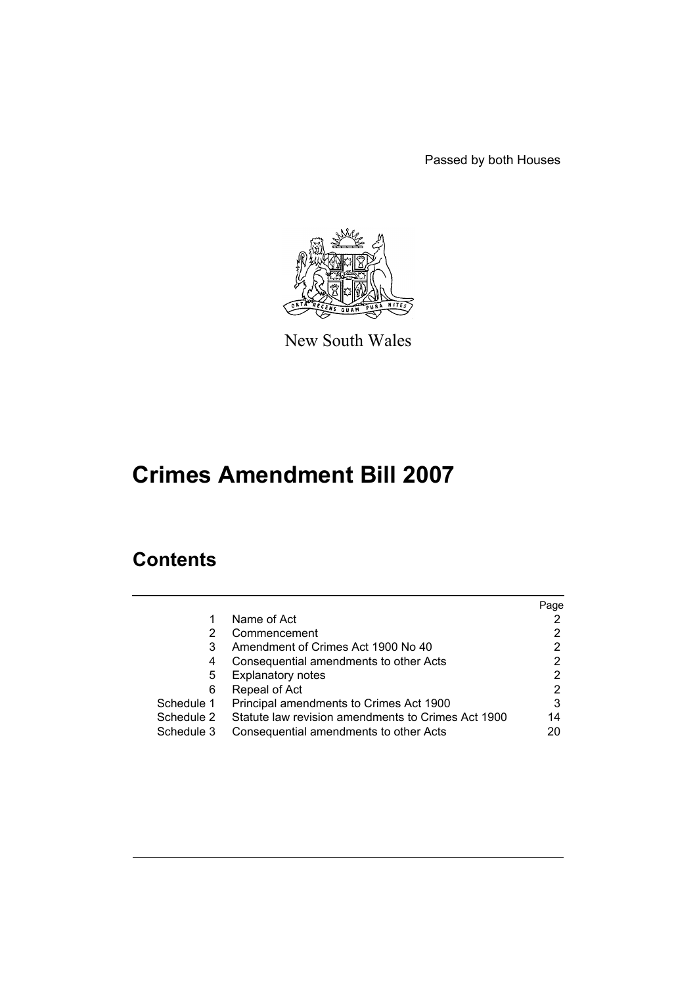Passed by both Houses



New South Wales

# **Crimes Amendment Bill 2007**

# **Contents**

|            |                                                    | Page |
|------------|----------------------------------------------------|------|
| 1          | Name of Act                                        |      |
| 2          | Commencement                                       |      |
| 3          | Amendment of Crimes Act 1900 No 40                 |      |
| 4          | Consequential amendments to other Acts             | 2    |
| 5          | <b>Explanatory notes</b>                           | 2    |
| 6          | Repeal of Act                                      | 2    |
| Schedule 1 | Principal amendments to Crimes Act 1900            | 3    |
| Schedule 2 | Statute law revision amendments to Crimes Act 1900 | 14   |
| Schedule 3 | Consequential amendments to other Acts             | 20   |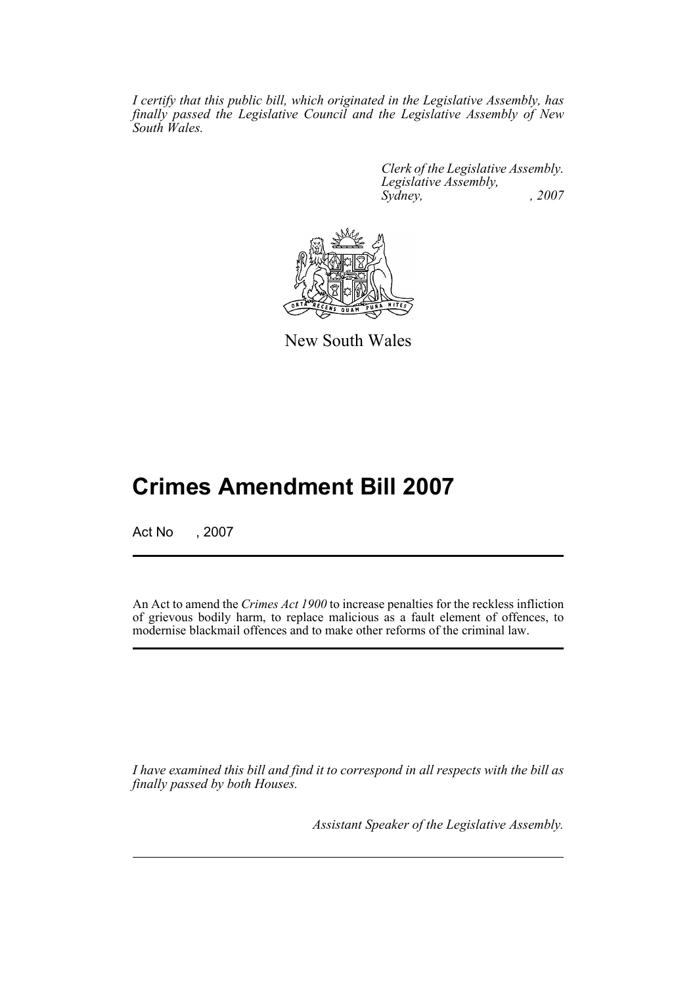*I certify that this public bill, which originated in the Legislative Assembly, has finally passed the Legislative Council and the Legislative Assembly of New South Wales.*

> *Clerk of the Legislative Assembly. Legislative Assembly, Sydney, , 2007*



New South Wales

# **Crimes Amendment Bill 2007**

Act No , 2007

An Act to amend the *Crimes Act 1900* to increase penalties for the reckless infliction of grievous bodily harm, to replace malicious as a fault element of offences, to modernise blackmail offences and to make other reforms of the criminal law.

*I have examined this bill and find it to correspond in all respects with the bill as finally passed by both Houses.*

*Assistant Speaker of the Legislative Assembly.*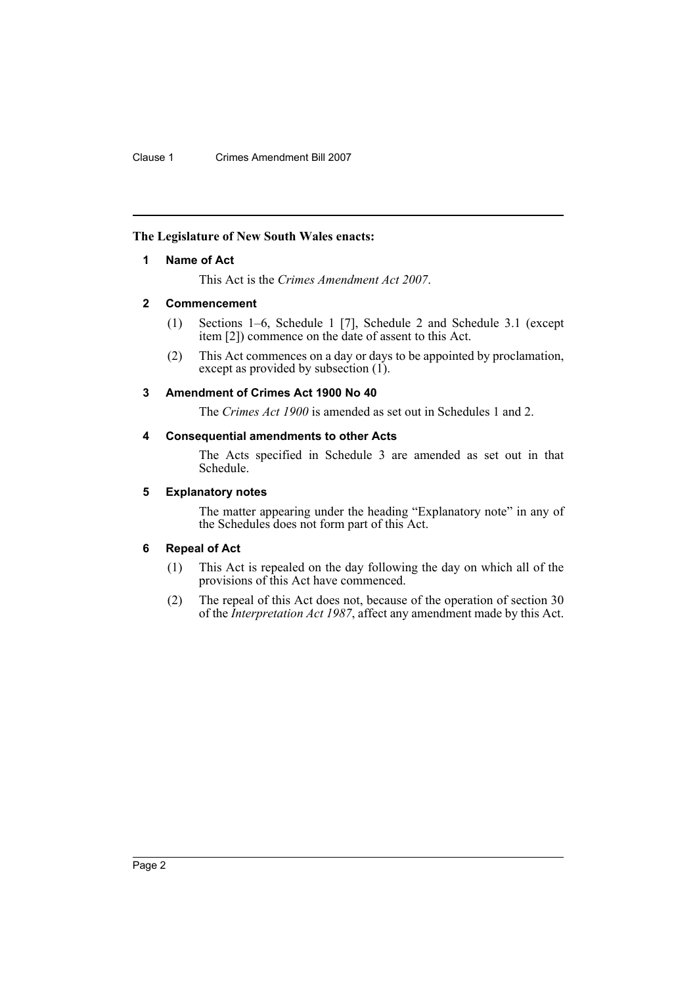## <span id="page-2-0"></span>**The Legislature of New South Wales enacts:**

## **1 Name of Act**

This Act is the *Crimes Amendment Act 2007*.

## <span id="page-2-1"></span>**2 Commencement**

- (1) Sections 1–6, Schedule 1 [7], Schedule 2 and Schedule 3.1 (except item [2]) commence on the date of assent to this Act.
- (2) This Act commences on a day or days to be appointed by proclamation, except as provided by subsection  $(1)$ .

## <span id="page-2-2"></span>**3 Amendment of Crimes Act 1900 No 40**

The *Crimes Act 1900* is amended as set out in Schedules 1 and 2.

## <span id="page-2-3"></span>**4 Consequential amendments to other Acts**

The Acts specified in Schedule 3 are amended as set out in that Schedule.

## <span id="page-2-4"></span>**5 Explanatory notes**

The matter appearing under the heading "Explanatory note" in any of the Schedules does not form part of this Act.

## <span id="page-2-5"></span>**6 Repeal of Act**

- (1) This Act is repealed on the day following the day on which all of the provisions of this Act have commenced.
- (2) The repeal of this Act does not, because of the operation of section 30 of the *Interpretation Act 1987*, affect any amendment made by this Act.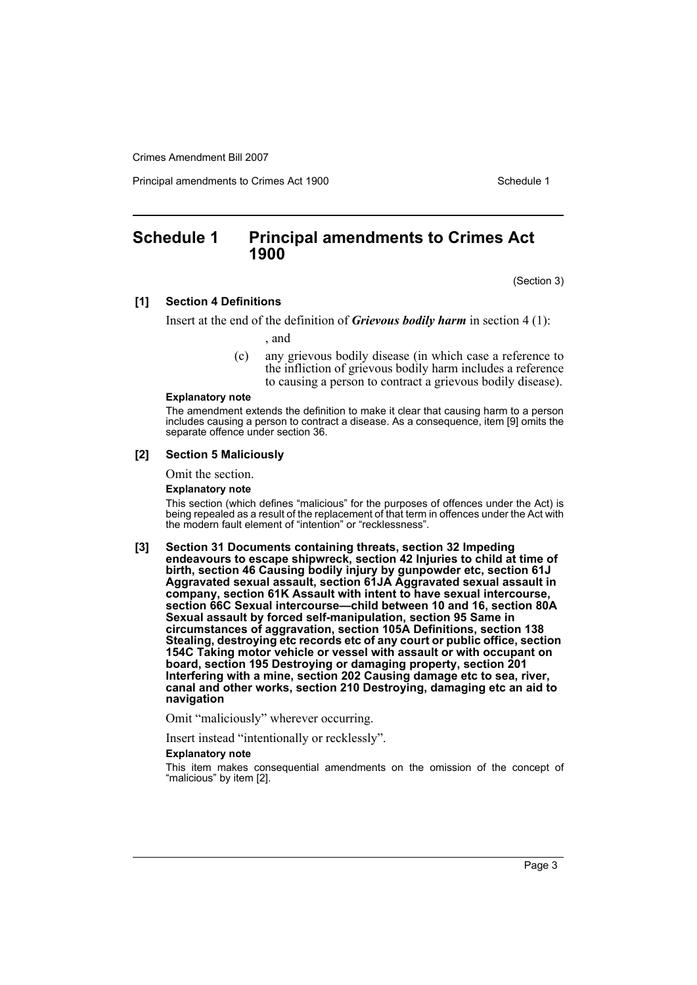Principal amendments to Crimes Act 1900 Schedule 1

## <span id="page-3-0"></span>**Schedule 1 Principal amendments to Crimes Act 1900**

(Section 3)

#### **[1] Section 4 Definitions**

Insert at the end of the definition of *Grievous bodily harm* in section 4 (1):

, and

(c) any grievous bodily disease (in which case a reference to the infliction of grievous bodily harm includes a reference to causing a person to contract a grievous bodily disease).

#### **Explanatory note**

The amendment extends the definition to make it clear that causing harm to a person includes causing a person to contract a disease. As a consequence, item [9] omits the separate offence under section 36.

#### **[2] Section 5 Maliciously**

Omit the section.

#### **Explanatory note**

This section (which defines "malicious" for the purposes of offences under the Act) is being repealed as a result of the replacement of that term in offences under the Act with the modern fault element of "intention" or "recklessness".

**[3] Section 31 Documents containing threats, section 32 Impeding endeavours to escape shipwreck, section 42 Injuries to child at time of birth, section 46 Causing bodily injury by gunpowder etc, section 61J Aggravated sexual assault, section 61JA Aggravated sexual assault in company, section 61K Assault with intent to have sexual intercourse, section 66C Sexual intercourse—child between 10 and 16, section 80A Sexual assault by forced self-manipulation, section 95 Same in circumstances of aggravation, section 105A Definitions, section 138 Stealing, destroying etc records etc of any court or public office, section 154C Taking motor vehicle or vessel with assault or with occupant on board, section 195 Destroying or damaging property, section 201 Interfering with a mine, section 202 Causing damage etc to sea, river, canal and other works, section 210 Destroying, damaging etc an aid to navigation**

Omit "maliciously" wherever occurring.

Insert instead "intentionally or recklessly".

#### **Explanatory note**

This item makes consequential amendments on the omission of the concept of "malicious" by item [2].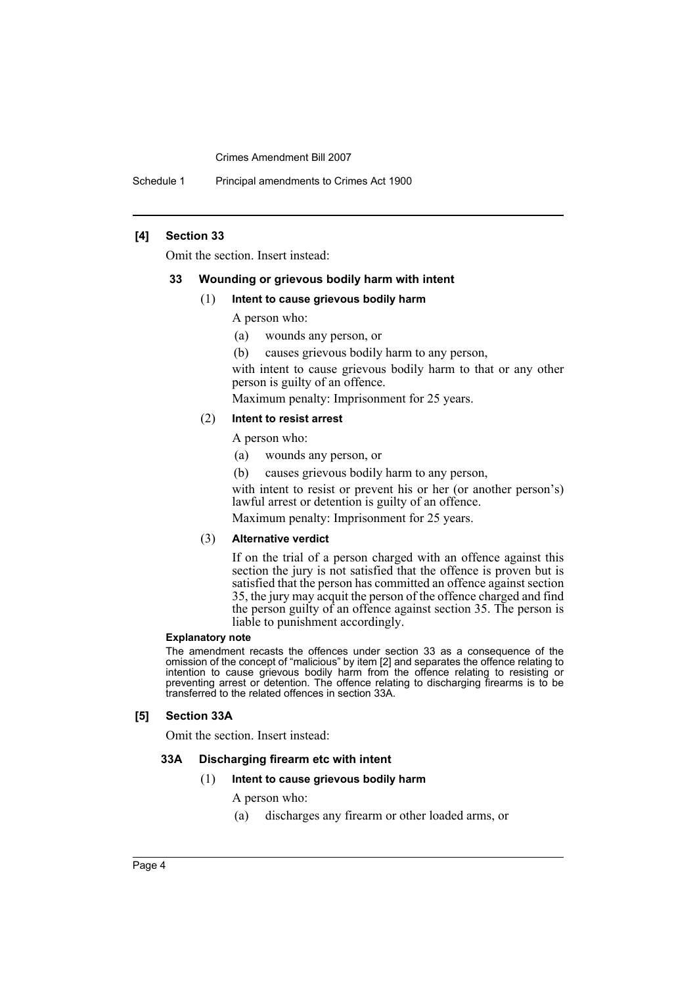Schedule 1 Principal amendments to Crimes Act 1900

#### **[4] Section 33**

Omit the section. Insert instead:

#### **33 Wounding or grievous bodily harm with intent**

#### (1) **Intent to cause grievous bodily harm**

A person who:

- (a) wounds any person, or
- (b) causes grievous bodily harm to any person,

with intent to cause grievous bodily harm to that or any other person is guilty of an offence.

Maximum penalty: Imprisonment for 25 years.

## (2) **Intent to resist arrest**

A person who:

- (a) wounds any person, or
- (b) causes grievous bodily harm to any person,

with intent to resist or prevent his or her (or another person's) lawful arrest or detention is guilty of an offence.

Maximum penalty: Imprisonment for 25 years.

#### (3) **Alternative verdict**

If on the trial of a person charged with an offence against this section the jury is not satisfied that the offence is proven but is satisfied that the person has committed an offence against section 35, the jury may acquit the person of the offence charged and find the person guilty of an offence against section 35. The person is liable to punishment accordingly.

#### **Explanatory note**

The amendment recasts the offences under section 33 as a consequence of the omission of the concept of "malicious" by item [2] and separates the offence relating to intention to cause grievous bodily harm from the offence relating to resisting or preventing arrest or detention. The offence relating to discharging firearms is to be transferred to the related offences in section 33A.

#### **[5] Section 33A**

Omit the section. Insert instead:

#### **33A Discharging firearm etc with intent**

#### (1) **Intent to cause grievous bodily harm**

- A person who:
- (a) discharges any firearm or other loaded arms, or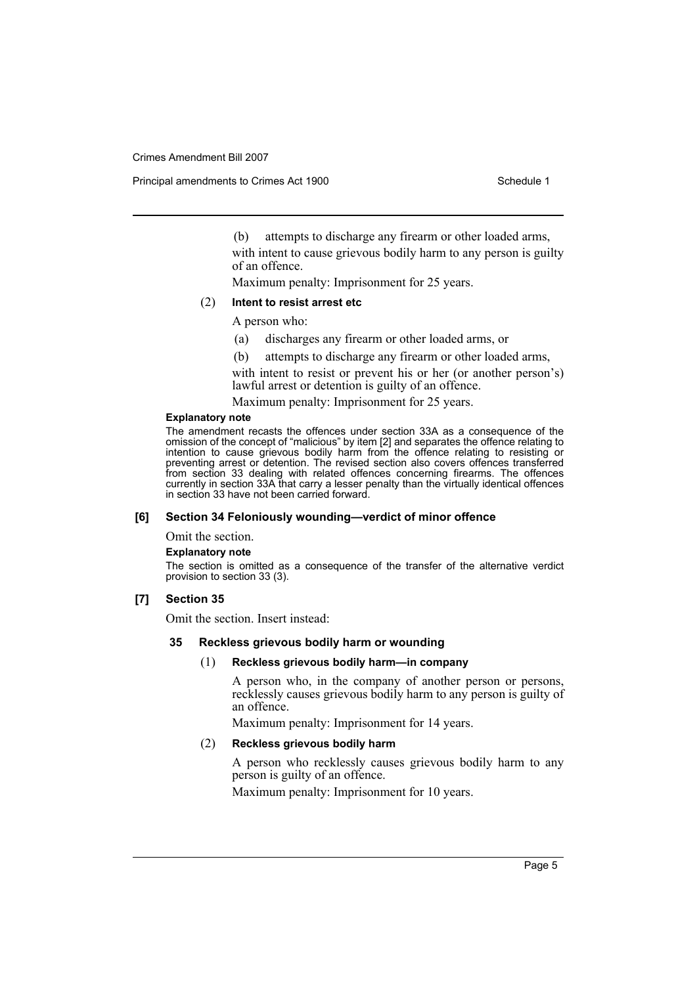Principal amendments to Crimes Act 1900 **Schedule 1** Schedule 1

(b) attempts to discharge any firearm or other loaded arms, with intent to cause grievous bodily harm to any person is guilty of an offence.

Maximum penalty: Imprisonment for 25 years.

#### (2) **Intent to resist arrest etc**

A person who:

- (a) discharges any firearm or other loaded arms, or
- (b) attempts to discharge any firearm or other loaded arms,

with intent to resist or prevent his or her (or another person's) lawful arrest or detention is guilty of an offence.

Maximum penalty: Imprisonment for 25 years.

#### **Explanatory note**

The amendment recasts the offences under section 33A as a consequence of the omission of the concept of "malicious" by item [2] and separates the offence relating to intention to cause grievous bodily harm from the offence relating to resisting or preventing arrest or detention. The revised section also covers offences transferred from section 33 dealing with related offences concerning firearms. The offences currently in section 33A that carry a lesser penalty than the virtually identical offences in section 33 have not been carried forward.

#### **[6] Section 34 Feloniously wounding—verdict of minor offence**

Omit the section.

#### **Explanatory note**

The section is omitted as a consequence of the transfer of the alternative verdict provision to section 33 (3).

#### **[7] Section 35**

Omit the section. Insert instead:

#### **35 Reckless grievous bodily harm or wounding**

#### (1) **Reckless grievous bodily harm—in company**

A person who, in the company of another person or persons, recklessly causes grievous bodily harm to any person is guilty of an offence.

Maximum penalty: Imprisonment for 14 years.

## (2) **Reckless grievous bodily harm**

A person who recklessly causes grievous bodily harm to any person is guilty of an offence.

Maximum penalty: Imprisonment for 10 years.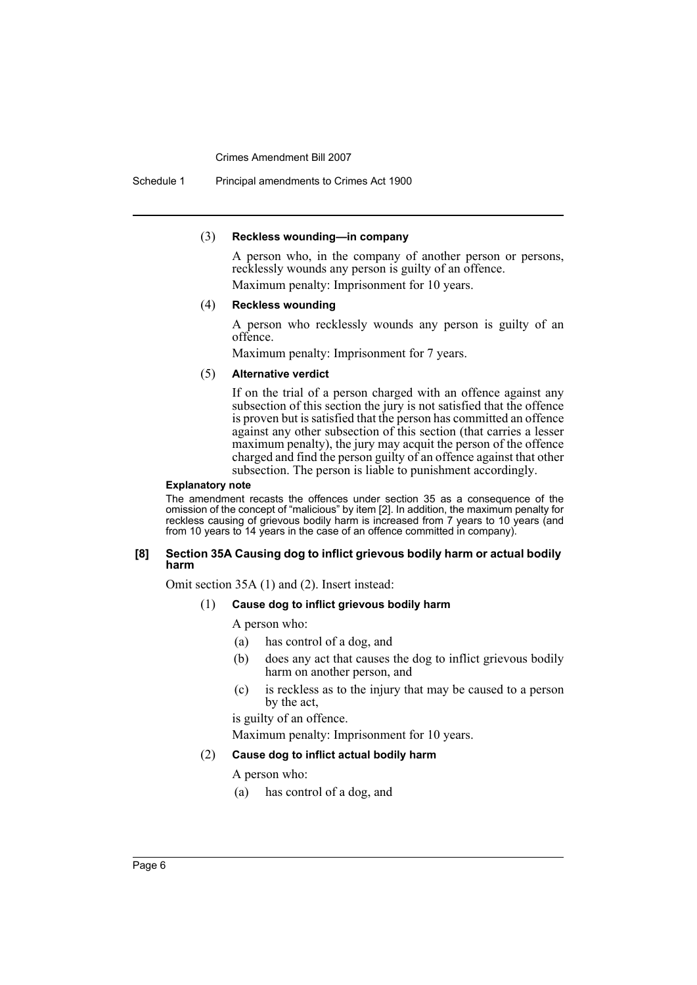Schedule 1 Principal amendments to Crimes Act 1900

#### (3) **Reckless wounding—in company**

A person who, in the company of another person or persons, recklessly wounds any person is guilty of an offence.

Maximum penalty: Imprisonment for 10 years.

## (4) **Reckless wounding**

A person who recklessly wounds any person is guilty of an offence.

Maximum penalty: Imprisonment for 7 years.

#### (5) **Alternative verdict**

If on the trial of a person charged with an offence against any subsection of this section the jury is not satisfied that the offence is proven but is satisfied that the person has committed an offence against any other subsection of this section (that carries a lesser maximum penalty), the jury may acquit the person of the offence charged and find the person guilty of an offence against that other subsection. The person is liable to punishment accordingly.

#### **Explanatory note**

The amendment recasts the offences under section 35 as a consequence of the omission of the concept of "malicious" by item [2]. In addition, the maximum penalty for reckless causing of grievous bodily harm is increased from 7 years to 10 years (and from 10 years to 14 years in the case of an offence committed in company).

#### **[8] Section 35A Causing dog to inflict grievous bodily harm or actual bodily harm**

Omit section 35A (1) and (2). Insert instead:

#### (1) **Cause dog to inflict grievous bodily harm**

A person who:

- (a) has control of a dog, and
- (b) does any act that causes the dog to inflict grievous bodily harm on another person, and
- (c) is reckless as to the injury that may be caused to a person by the act,

is guilty of an offence.

Maximum penalty: Imprisonment for 10 years.

## (2) **Cause dog to inflict actual bodily harm**

A person who:

(a) has control of a dog, and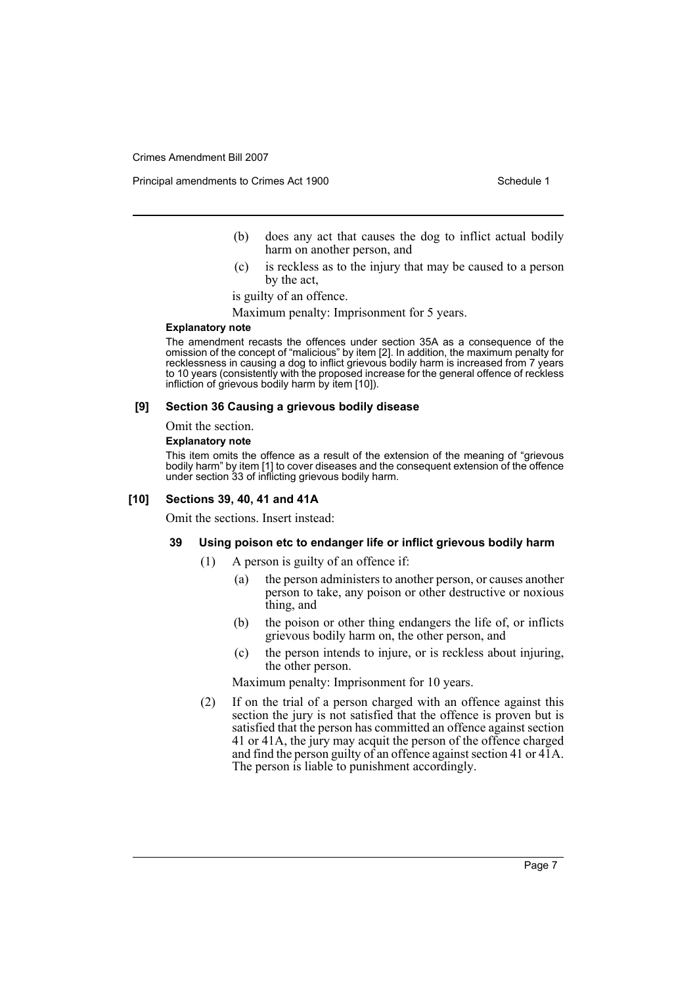Principal amendments to Crimes Act 1900 Schedule 1

- (b) does any act that causes the dog to inflict actual bodily harm on another person, and
- (c) is reckless as to the injury that may be caused to a person by the act,

is guilty of an offence.

Maximum penalty: Imprisonment for 5 years.

#### **Explanatory note**

The amendment recasts the offences under section 35A as a consequence of the omission of the concept of "malicious" by item [2]. In addition, the maximum penalty for recklessness in causing a dog to inflict grievous bodily harm is increased from 7 years to 10 years (consistently with the proposed increase for the general offence of reckless infliction of grievous bodily harm by item [10]).

#### **[9] Section 36 Causing a grievous bodily disease**

Omit the section.

**Explanatory note**

This item omits the offence as a result of the extension of the meaning of "grievous bodily harm" by item [1] to cover diseases and the consequent extension of the offence under section 33 of inflicting grievous bodily harm.

#### **[10] Sections 39, 40, 41 and 41A**

Omit the sections. Insert instead:

#### **39 Using poison etc to endanger life or inflict grievous bodily harm**

- (1) A person is guilty of an offence if:
	- (a) the person administers to another person, or causes another person to take, any poison or other destructive or noxious thing, and
	- (b) the poison or other thing endangers the life of, or inflicts grievous bodily harm on, the other person, and
	- (c) the person intends to injure, or is reckless about injuring, the other person.

Maximum penalty: Imprisonment for 10 years.

(2) If on the trial of a person charged with an offence against this section the jury is not satisfied that the offence is proven but is satisfied that the person has committed an offence against section 41 or 41A, the jury may acquit the person of the offence charged and find the person guilty of an offence against section 41 or 41A. The person is liable to punishment accordingly.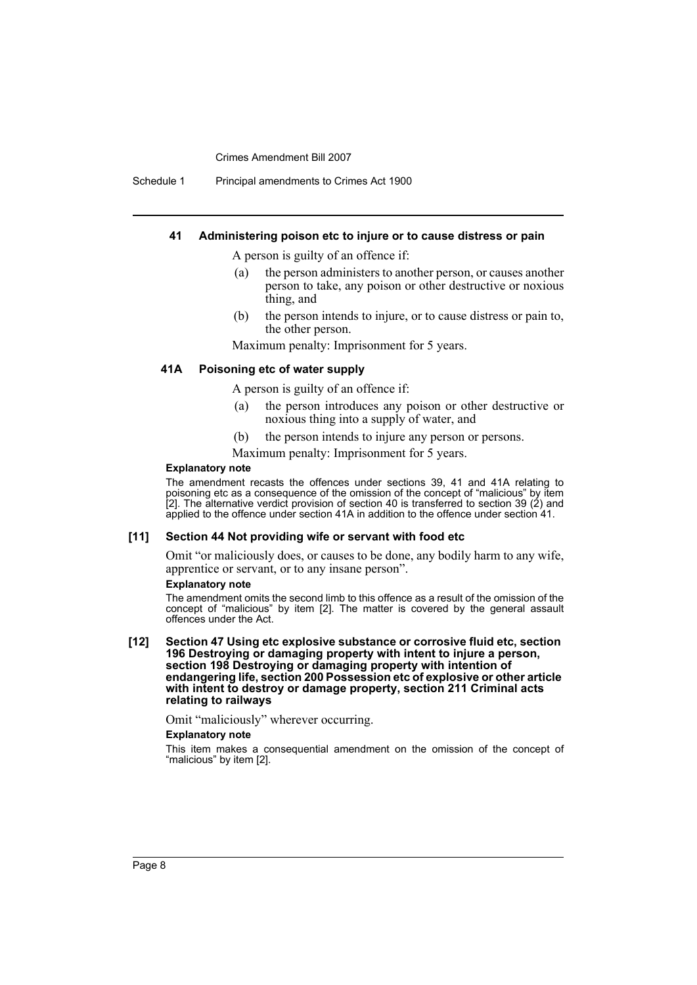Schedule 1 Principal amendments to Crimes Act 1900

#### **41 Administering poison etc to injure or to cause distress or pain**

A person is guilty of an offence if:

- (a) the person administers to another person, or causes another person to take, any poison or other destructive or noxious thing, and
- (b) the person intends to injure, or to cause distress or pain to, the other person.

Maximum penalty: Imprisonment for 5 years.

#### **41A Poisoning etc of water supply**

A person is guilty of an offence if:

- (a) the person introduces any poison or other destructive or noxious thing into a supply of water, and
- (b) the person intends to injure any person or persons.
- Maximum penalty: Imprisonment for 5 years.

#### **Explanatory note**

The amendment recasts the offences under sections 39, 41 and 41A relating to poisoning etc as a consequence of the omission of the concept of "malicious" by item [2]. The alternative verdict provision of section 40 is transferred to section 39 (2) and applied to the offence under section 41A in addition to the offence under section 41.

#### **[11] Section 44 Not providing wife or servant with food etc**

Omit "or maliciously does, or causes to be done, any bodily harm to any wife, apprentice or servant, or to any insane person".

#### **Explanatory note**

The amendment omits the second limb to this offence as a result of the omission of the concept of "malicious" by item [2]. The matter is covered by the general assault offences under the Act.

**[12] Section 47 Using etc explosive substance or corrosive fluid etc, section 196 Destroying or damaging property with intent to injure a person, section 198 Destroying or damaging property with intention of endangering life, section 200 Possession etc of explosive or other article with intent to destroy or damage property, section 211 Criminal acts relating to railways**

Omit "maliciously" wherever occurring.

#### **Explanatory note**

This item makes a consequential amendment on the omission of the concept of "malicious" by item [2].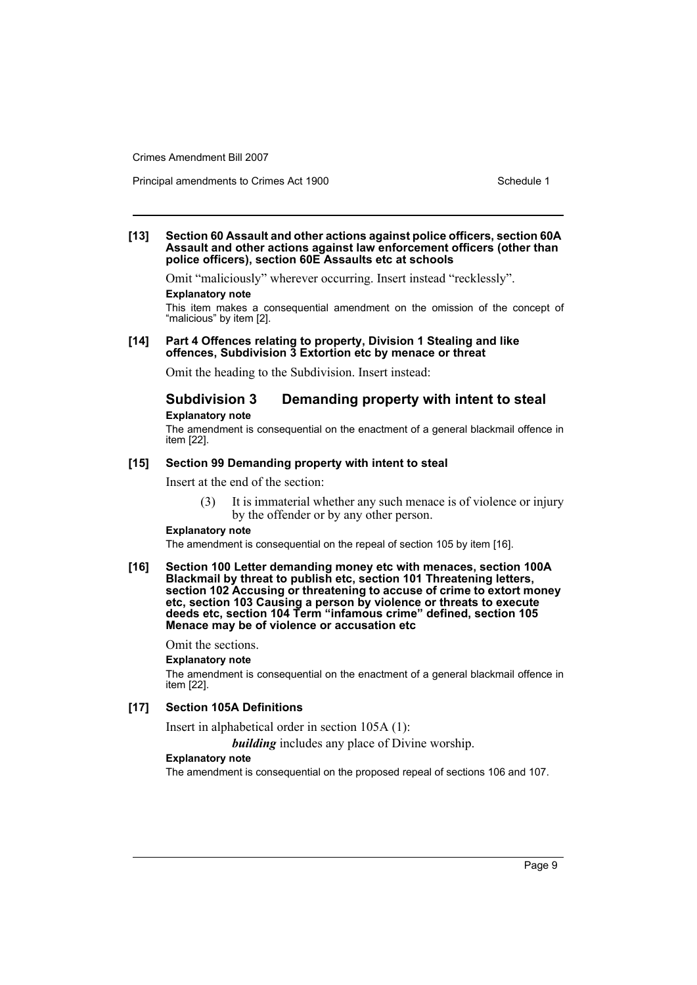Principal amendments to Crimes Act 1900 Schedule 1

#### **[13] Section 60 Assault and other actions against police officers, section 60A Assault and other actions against law enforcement officers (other than police officers), section 60E Assaults etc at schools**

Omit "maliciously" wherever occurring. Insert instead "recklessly". **Explanatory note**

This item makes a consequential amendment on the omission of the concept of "malicious" by item [2].

#### **[14] Part 4 Offences relating to property, Division 1 Stealing and like offences, Subdivision 3 Extortion etc by menace or threat**

Omit the heading to the Subdivision. Insert instead:

## **Subdivision 3 Demanding property with intent to steal Explanatory note**

The amendment is consequential on the enactment of a general blackmail offence in item [22].

#### **[15] Section 99 Demanding property with intent to steal**

Insert at the end of the section:

It is immaterial whether any such menace is of violence or injury by the offender or by any other person.

## **Explanatory note**

The amendment is consequential on the repeal of section 105 by item [16].

**[16] Section 100 Letter demanding money etc with menaces, section 100A Blackmail by threat to publish etc, section 101 Threatening letters, section 102 Accusing or threatening to accuse of crime to extort money etc, section 103 Causing a person by violence or threats to execute deeds etc, section 104 Term "infamous crime" defined, section 105 Menace may be of violence or accusation etc**

Omit the sections.

#### **Explanatory note**

The amendment is consequential on the enactment of a general blackmail offence in item [22].

## **[17] Section 105A Definitions**

Insert in alphabetical order in section 105A (1):

*building* includes any place of Divine worship.

#### **Explanatory note**

The amendment is consequential on the proposed repeal of sections 106 and 107.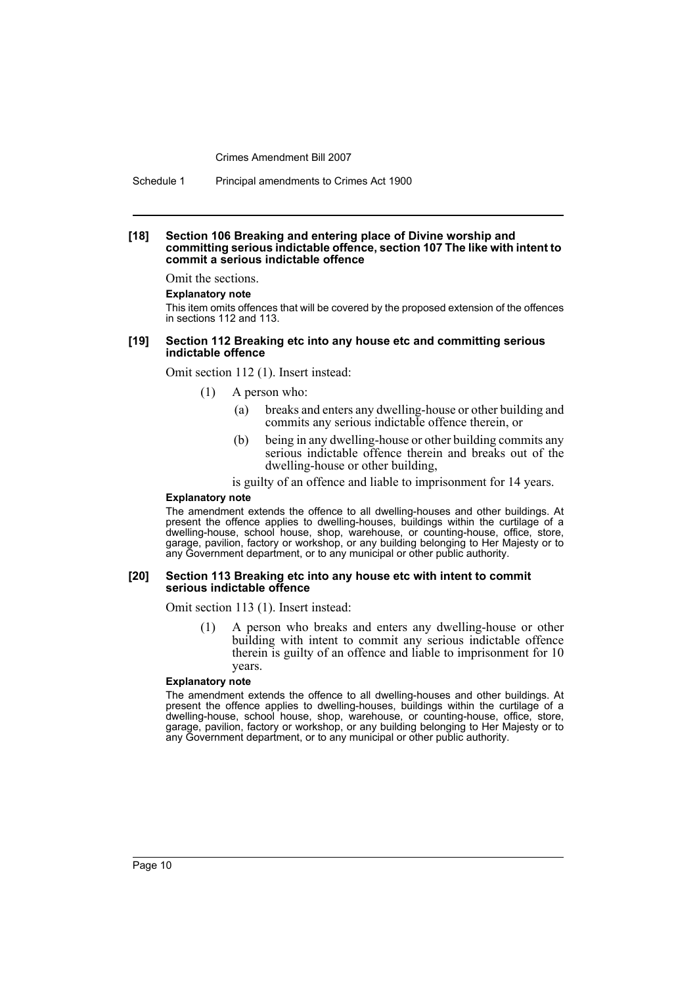Schedule 1 Principal amendments to Crimes Act 1900

#### **[18] Section 106 Breaking and entering place of Divine worship and committing serious indictable offence, section 107 The like with intent to commit a serious indictable offence**

Omit the sections.

#### **Explanatory note**

This item omits offences that will be covered by the proposed extension of the offences in sections 112 and 113.

#### **[19] Section 112 Breaking etc into any house etc and committing serious indictable offence**

Omit section 112 (1). Insert instead:

- (1) A person who:
	- (a) breaks and enters any dwelling-house or other building and commits any serious indictable offence therein, or
	- (b) being in any dwelling-house or other building commits any serious indictable offence therein and breaks out of the dwelling-house or other building,

is guilty of an offence and liable to imprisonment for 14 years.

#### **Explanatory note**

The amendment extends the offence to all dwelling-houses and other buildings. At present the offence applies to dwelling-houses, buildings within the curtilage of a dwelling-house, school house, shop, warehouse, or counting-house, office, store, garage, pavilion, factory or workshop, or any building belonging to Her Majesty or to any Government department, or to any municipal or other public authority.

#### **[20] Section 113 Breaking etc into any house etc with intent to commit serious indictable offence**

Omit section 113 (1). Insert instead:

(1) A person who breaks and enters any dwelling-house or other building with intent to commit any serious indictable offence therein is guilty of an offence and liable to imprisonment for 10 years.

#### **Explanatory note**

The amendment extends the offence to all dwelling-houses and other buildings. At present the offence applies to dwelling-houses, buildings within the curtilage of a dwelling-house, school house, shop, warehouse, or counting-house, office, store, garage, pavilion, factory or workshop, or any building belonging to Her Majesty or to any Government department, or to any municipal or other public authority.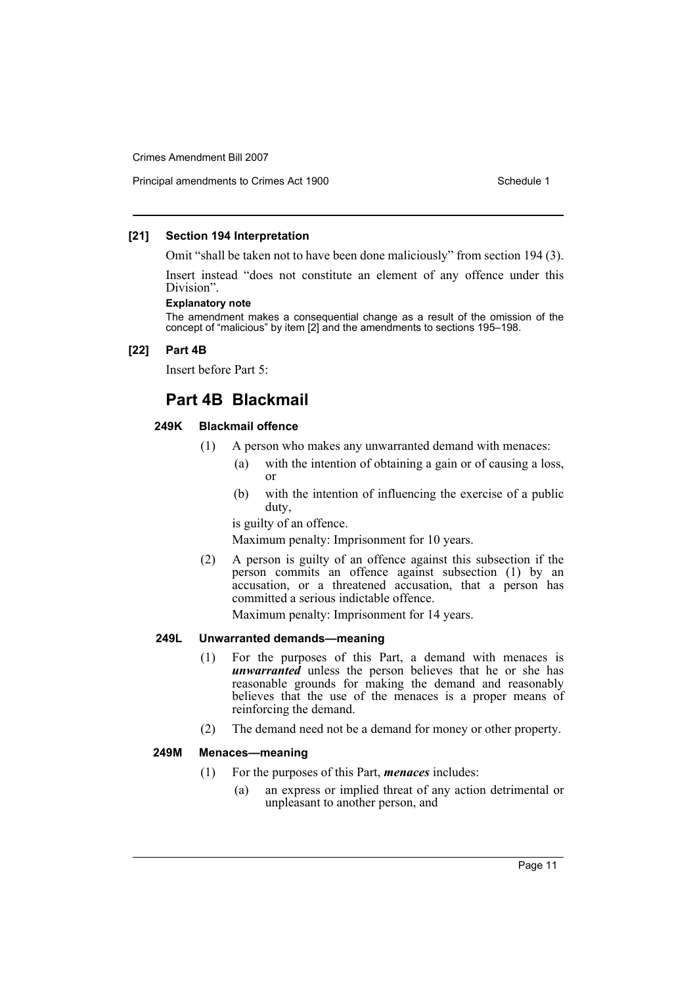## **[21] Section 194 Interpretation**

Omit "shall be taken not to have been done maliciously" from section 194 (3).

Insert instead "does not constitute an element of any offence under this Division".

## **Explanatory note**

The amendment makes a consequential change as a result of the omission of the concept of "malicious" by item [2] and the amendments to sections 195–198.

#### **[22] Part 4B**

Insert before Part 5:

# **Part 4B Blackmail**

## **249K Blackmail offence**

- (1) A person who makes any unwarranted demand with menaces:
	- (a) with the intention of obtaining a gain or of causing a loss, or
	- (b) with the intention of influencing the exercise of a public duty,

is guilty of an offence.

Maximum penalty: Imprisonment for 10 years.

(2) A person is guilty of an offence against this subsection if the person commits an offence against subsection (1) by an accusation, or a threatened accusation, that a person has committed a serious indictable offence.

Maximum penalty: Imprisonment for 14 years.

## **249L Unwarranted demands—meaning**

- (1) For the purposes of this Part, a demand with menaces is *unwarranted* unless the person believes that he or she has reasonable grounds for making the demand and reasonably believes that the use of the menaces is a proper means of reinforcing the demand.
- (2) The demand need not be a demand for money or other property.

## **249M Menaces—meaning**

- (1) For the purposes of this Part, *menaces* includes:
	- (a) an express or implied threat of any action detrimental or unpleasant to another person, and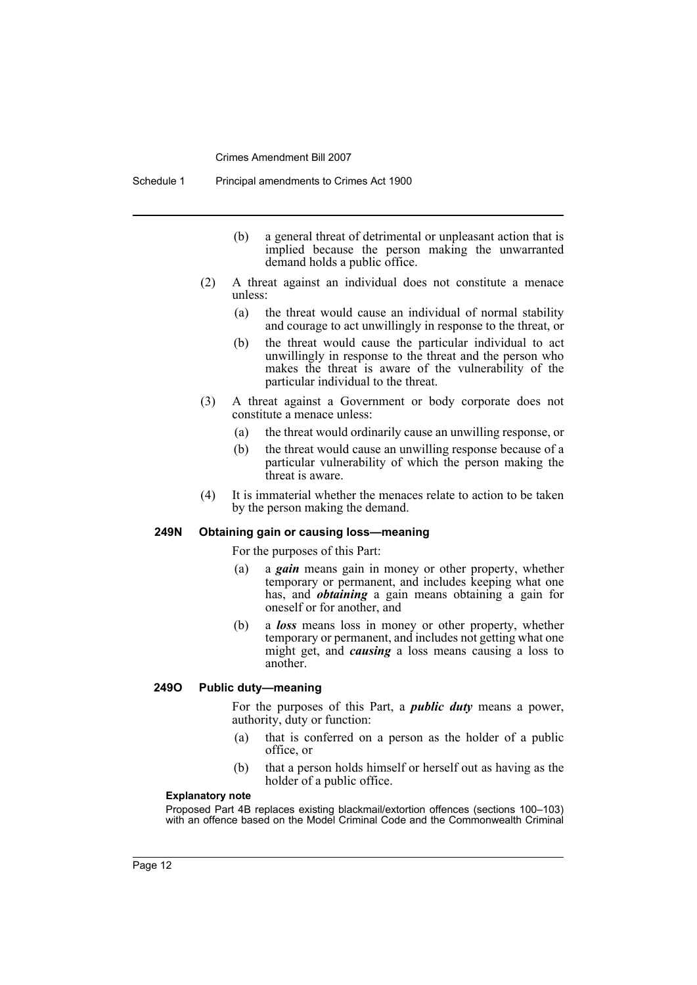- (b) a general threat of detrimental or unpleasant action that is implied because the person making the unwarranted demand holds a public office.
- (2) A threat against an individual does not constitute a menace unless:
	- (a) the threat would cause an individual of normal stability and courage to act unwillingly in response to the threat, or
	- (b) the threat would cause the particular individual to act unwillingly in response to the threat and the person who makes the threat is aware of the vulnerability of the particular individual to the threat.
- (3) A threat against a Government or body corporate does not constitute a menace unless:
	- (a) the threat would ordinarily cause an unwilling response, or
	- (b) the threat would cause an unwilling response because of a particular vulnerability of which the person making the threat is aware.
- (4) It is immaterial whether the menaces relate to action to be taken by the person making the demand.

### **249N Obtaining gain or causing loss—meaning**

For the purposes of this Part:

- (a) a *gain* means gain in money or other property, whether temporary or permanent, and includes keeping what one has, and *obtaining* a gain means obtaining a gain for oneself or for another, and
- (b) a *loss* means loss in money or other property, whether temporary or permanent, and includes not getting what one might get, and *causing* a loss means causing a loss to another.

#### **249O Public duty—meaning**

For the purposes of this Part, a *public duty* means a power, authority, duty or function:

- (a) that is conferred on a person as the holder of a public office, or
- (b) that a person holds himself or herself out as having as the holder of a public office.

#### **Explanatory note**

Proposed Part 4B replaces existing blackmail/extortion offences (sections 100–103) with an offence based on the Model Criminal Code and the Commonwealth Criminal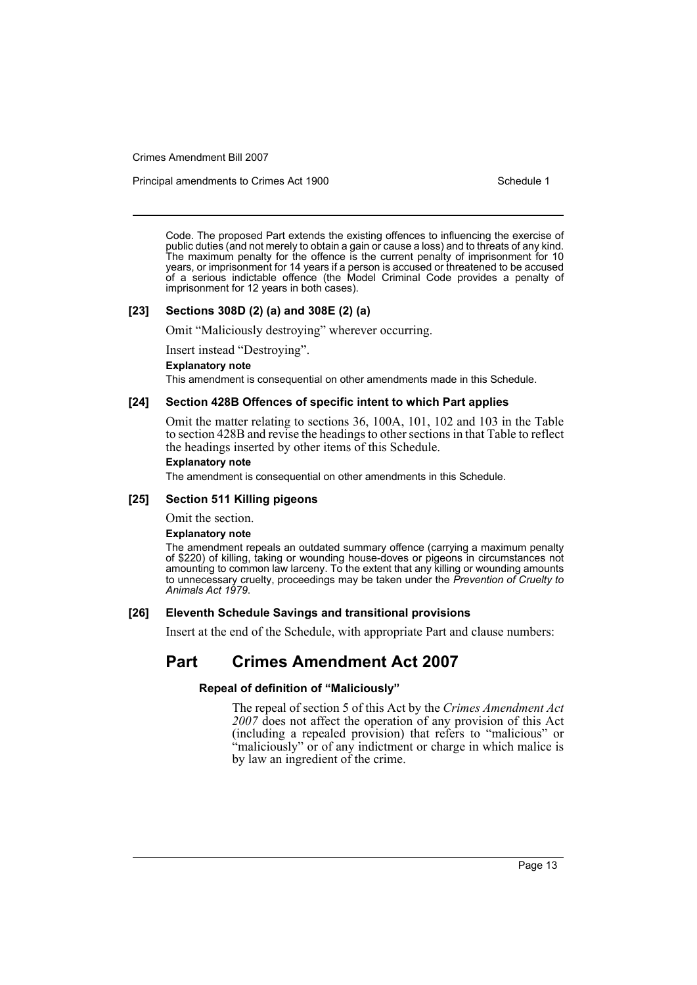Principal amendments to Crimes Act 1900 Schedule 1

Code. The proposed Part extends the existing offences to influencing the exercise of public duties (and not merely to obtain a gain or cause a loss) and to threats of any kind. The maximum penalty for the offence is the current penalty of imprisonment for 10 years, or imprisonment for 14 years if a person is accused or threatened to be accused of a serious indictable offence (the Model Criminal Code provides a penalty of imprisonment for 12 years in both cases).

#### **[23] Sections 308D (2) (a) and 308E (2) (a)**

Omit "Maliciously destroying" wherever occurring.

Insert instead "Destroying".

#### **Explanatory note**

This amendment is consequential on other amendments made in this Schedule.

#### **[24] Section 428B Offences of specific intent to which Part applies**

Omit the matter relating to sections 36, 100A, 101, 102 and 103 in the Table to section 428B and revise the headings to other sections in that Table to reflect the headings inserted by other items of this Schedule.

#### **Explanatory note**

The amendment is consequential on other amendments in this Schedule.

#### **[25] Section 511 Killing pigeons**

Omit the section.

#### **Explanatory note**

The amendment repeals an outdated summary offence (carrying a maximum penalty of \$220) of killing, taking or wounding house-doves or pigeons in circumstances not amounting to common law larceny. To the extent that any killing or wounding amounts to unnecessary cruelty, proceedings may be taken under the *Prevention of Cruelty to Animals Act 1979*.

#### **[26] Eleventh Schedule Savings and transitional provisions**

Insert at the end of the Schedule, with appropriate Part and clause numbers:

## **Part Crimes Amendment Act 2007**

#### **Repeal of definition of "Maliciously"**

The repeal of section 5 of this Act by the *Crimes Amendment Act 2007* does not affect the operation of any provision of this Act (including a repealed provision) that refers to "malicious" or "maliciously" or of any indictment or charge in which malice is by law an ingredient of the crime.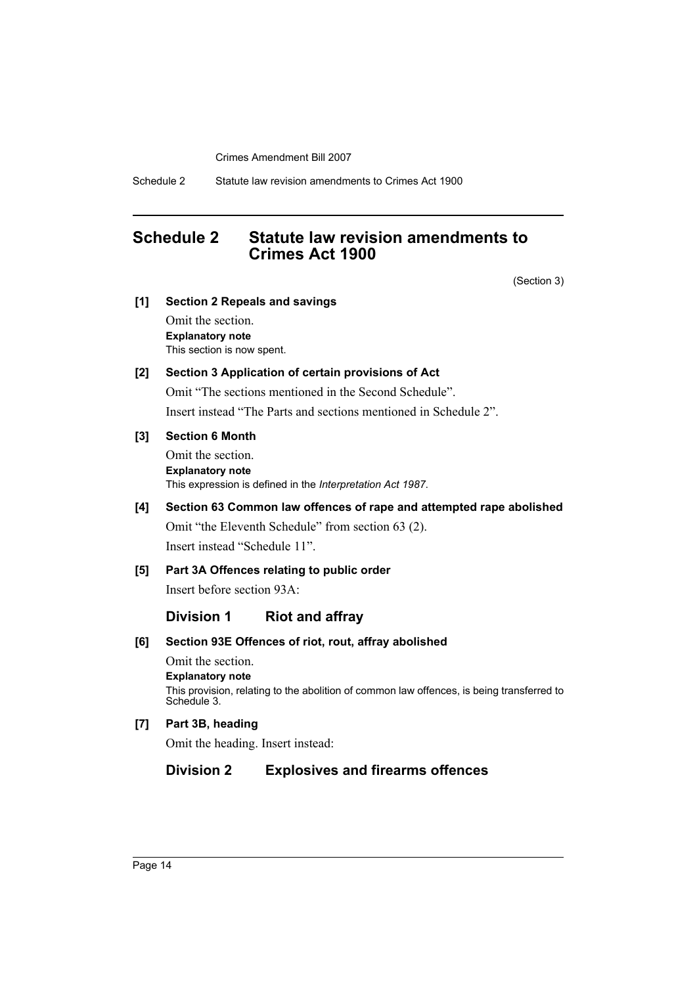Schedule 2 Statute law revision amendments to Crimes Act 1900

## <span id="page-14-0"></span>**Schedule 2 Statute law revision amendments to Crimes Act 1900**

(Section 3)

## **[1] Section 2 Repeals and savings**

Omit the section. **Explanatory note** This section is now spent.

#### **[2] Section 3 Application of certain provisions of Act**

Omit "The sections mentioned in the Second Schedule".

Insert instead "The Parts and sections mentioned in Schedule 2".

## **[3] Section 6 Month**

Omit the section. **Explanatory note** This expression is defined in the *Interpretation Act 1987*.

## **[4] Section 63 Common law offences of rape and attempted rape abolished**

Omit "the Eleventh Schedule" from section 63 (2). Insert instead "Schedule 11".

## **[5] Part 3A Offences relating to public order**

Insert before section 93A:

## **Division 1 Riot and affray**

**[6] Section 93E Offences of riot, rout, affray abolished**

Omit the section. **Explanatory note** This provision, relating to the abolition of common law offences, is being transferred to Schedule 3.

## **[7] Part 3B, heading**

Omit the heading. Insert instead:

## **Division 2 Explosives and firearms offences**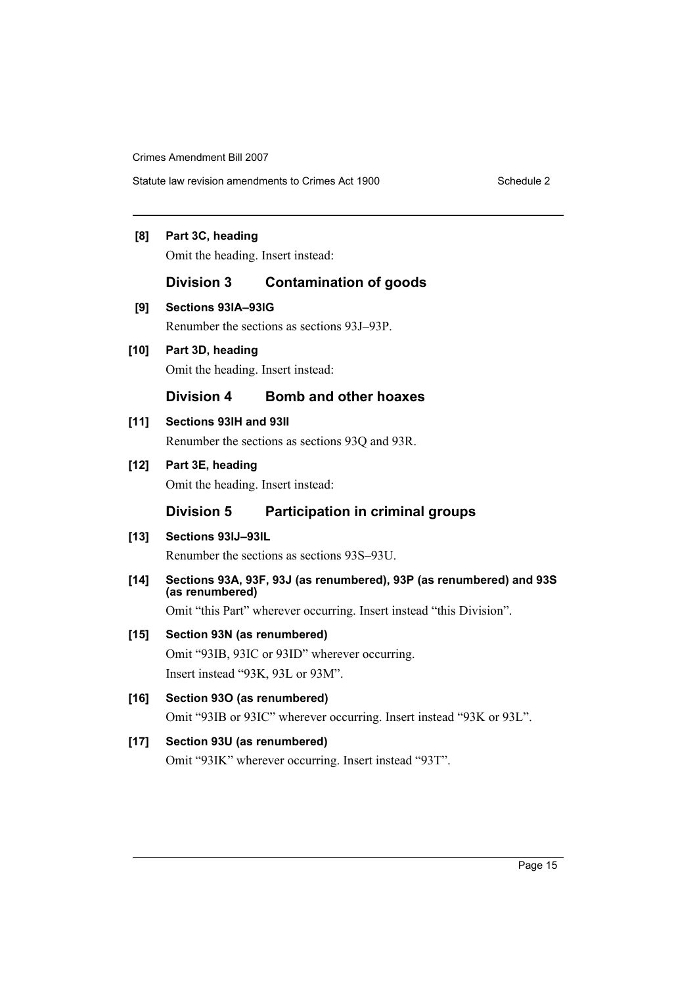Statute law revision amendments to Crimes Act 1900

## **[8] Part 3C, heading**

Omit the heading. Insert instead:

## **Division 3 Contamination of goods**

**[9] Sections 93IA–93IG**

Renumber the sections as sections 93J–93P.

## **[10] Part 3D, heading**

Omit the heading. Insert instead:

## **Division 4 Bomb and other hoaxes**

## **[11] Sections 93IH and 93II**

Renumber the sections as sections 93Q and 93R.

**[12] Part 3E, heading**

Omit the heading. Insert instead:

## **Division 5 Participation in criminal groups**

## **[13] Sections 93IJ–93IL**

Renumber the sections as sections 93S–93U.

## **[14] Sections 93A, 93F, 93J (as renumbered), 93P (as renumbered) and 93S (as renumbered)**

Omit "this Part" wherever occurring. Insert instead "this Division".

## **[15] Section 93N (as renumbered)**

Omit "93IB, 93IC or 93ID" wherever occurring. Insert instead "93K, 93L or 93M".

## **[16] Section 93O (as renumbered)**

Omit "93IB or 93IC" wherever occurring. Insert instead "93K or 93L".

## **[17] Section 93U (as renumbered)**

Omit "93IK" wherever occurring. Insert instead "93T".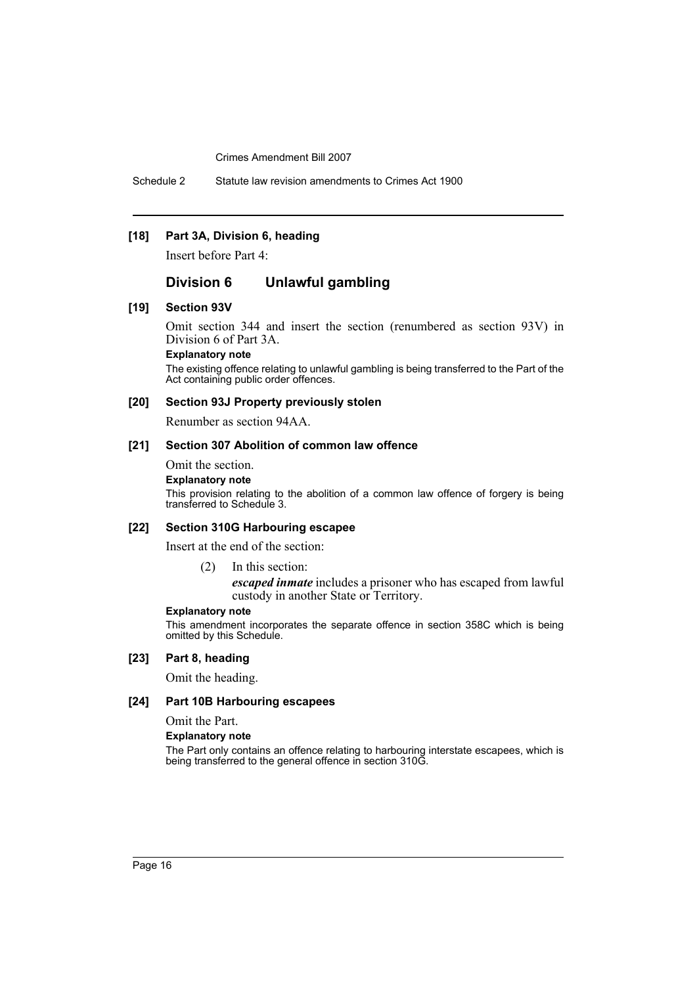Schedule 2 Statute law revision amendments to Crimes Act 1900

#### **[18] Part 3A, Division 6, heading**

Insert before Part 4:

## **Division 6 Unlawful gambling**

#### **[19] Section 93V**

Omit section 344 and insert the section (renumbered as section 93V) in Division 6 of Part 3A.

#### **Explanatory note**

The existing offence relating to unlawful gambling is being transferred to the Part of the Act containing public order offences.

#### **[20] Section 93J Property previously stolen**

Renumber as section 94AA.

## **[21] Section 307 Abolition of common law offence**

Omit the section.

**Explanatory note**

This provision relating to the abolition of a common law offence of forgery is being transferred to Schedule 3.

#### **[22] Section 310G Harbouring escapee**

Insert at the end of the section:

(2) In this section:

*escaped inmate* includes a prisoner who has escaped from lawful custody in another State or Territory.

#### **Explanatory note**

This amendment incorporates the separate offence in section 358C which is being omitted by this Schedule.

## **[23] Part 8, heading**

Omit the heading.

#### **[24] Part 10B Harbouring escapees**

Omit the Part.

#### **Explanatory note**

The Part only contains an offence relating to harbouring interstate escapees, which is being transferred to the general offence in section 310G.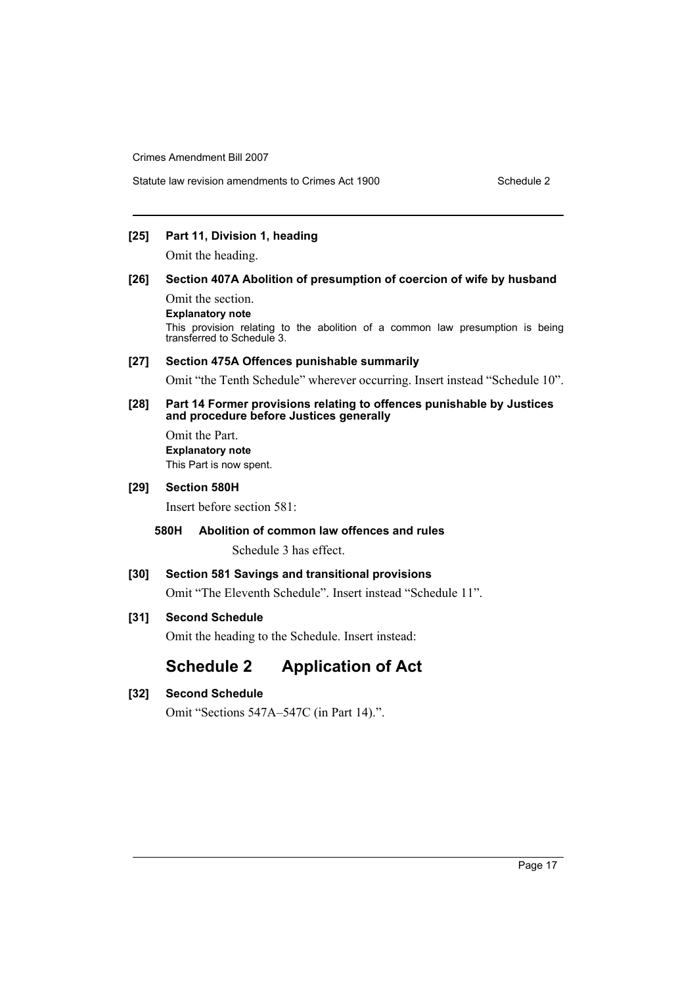## **[25] Part 11, Division 1, heading**

Omit the heading.

## **[26] Section 407A Abolition of presumption of coercion of wife by husband**

Omit the section. **Explanatory note** This provision relating to the abolition of a common law presumption is being transferred to Schedule 3.

#### **[27] Section 475A Offences punishable summarily**

Omit "the Tenth Schedule" wherever occurring. Insert instead "Schedule 10".

#### **[28] Part 14 Former provisions relating to offences punishable by Justices and procedure before Justices generally**

Omit the Part. **Explanatory note** This Part is now spent.

#### **[29] Section 580H**

Insert before section 581:

## **580H Abolition of common law offences and rules**

Schedule 3 has effect.

## **[30] Section 581 Savings and transitional provisions**

Omit "The Eleventh Schedule". Insert instead "Schedule 11".

## **[31] Second Schedule**

Omit the heading to the Schedule. Insert instead:

# **Schedule 2 Application of Act**

## **[32] Second Schedule**

Omit "Sections 547A–547C (in Part 14).".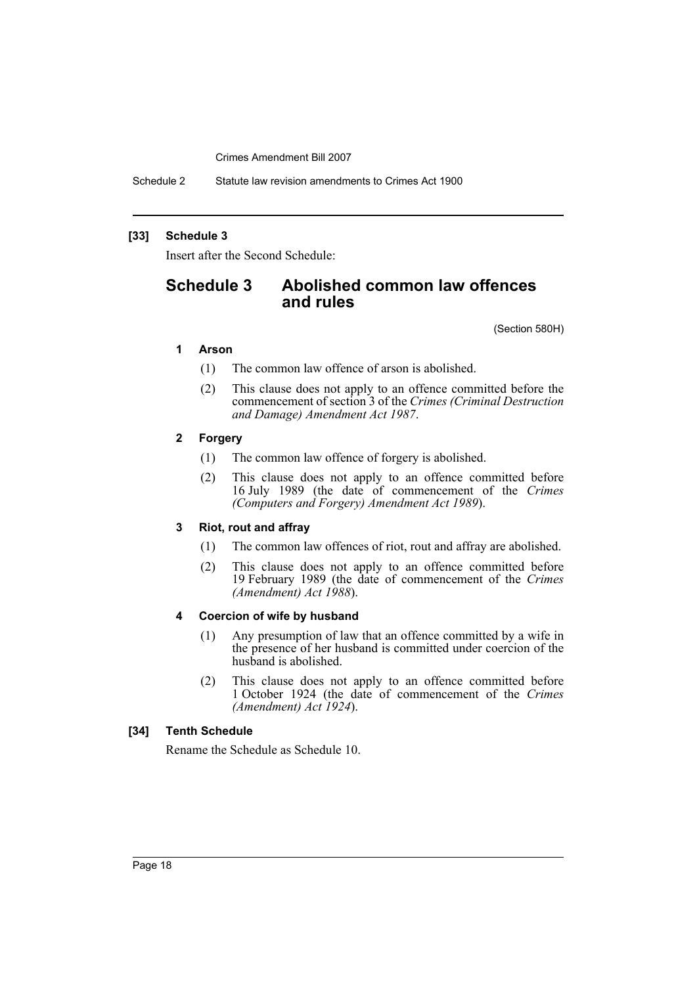Schedule 2 Statute law revision amendments to Crimes Act 1900

## **[33] Schedule 3**

Insert after the Second Schedule:

## **Schedule 3 Abolished common law offences and rules**

(Section 580H)

## **1 Arson**

- (1) The common law offence of arson is abolished.
- (2) This clause does not apply to an offence committed before the commencement of section 3 of the *Crimes (Criminal Destruction and Damage) Amendment Act 1987*.

## **2 Forgery**

- (1) The common law offence of forgery is abolished.
- (2) This clause does not apply to an offence committed before 16 July 1989 (the date of commencement of the *Crimes (Computers and Forgery) Amendment Act 1989*).

## **3 Riot, rout and affray**

- (1) The common law offences of riot, rout and affray are abolished.
- (2) This clause does not apply to an offence committed before 19 February 1989 (the date of commencement of the *Crimes (Amendment) Act 1988*).

## **4 Coercion of wife by husband**

- (1) Any presumption of law that an offence committed by a wife in the presence of her husband is committed under coercion of the husband is abolished.
- (2) This clause does not apply to an offence committed before 1 October 1924 (the date of commencement of the *Crimes (Amendment) Act 1924*).

### **[34] Tenth Schedule**

Rename the Schedule as Schedule 10.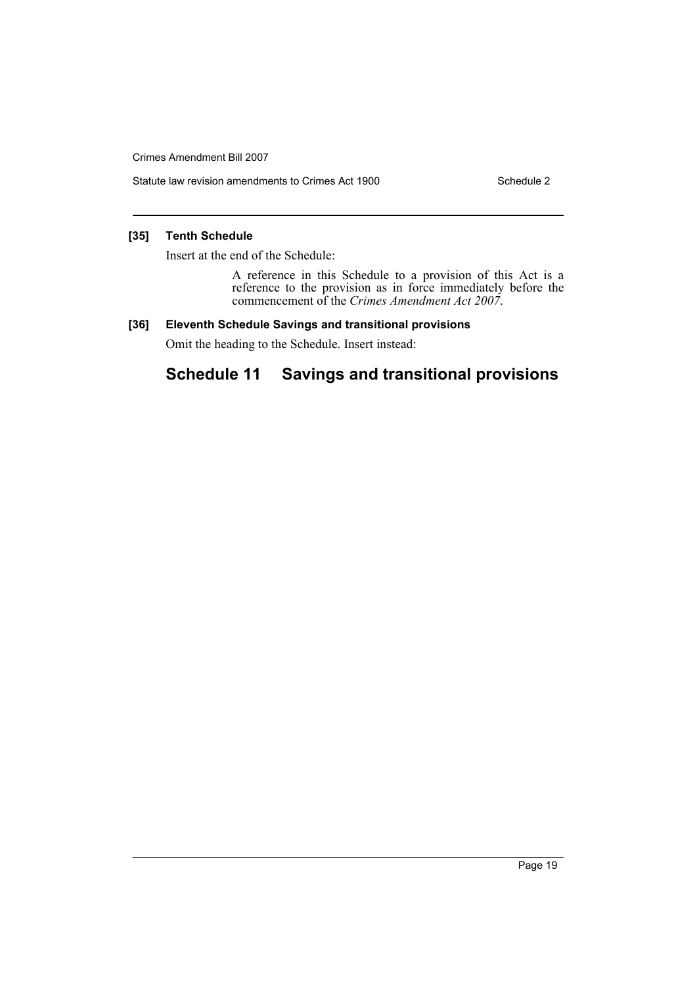Statute law revision amendments to Crimes Act 1900 Schedule 2

## **[35] Tenth Schedule**

Insert at the end of the Schedule:

A reference in this Schedule to a provision of this Act is a reference to the provision as in force immediately before the commencement of the *Crimes Amendment Act 2007*.

## **[36] Eleventh Schedule Savings and transitional provisions**

Omit the heading to the Schedule. Insert instead:

# **Schedule 11 Savings and transitional provisions**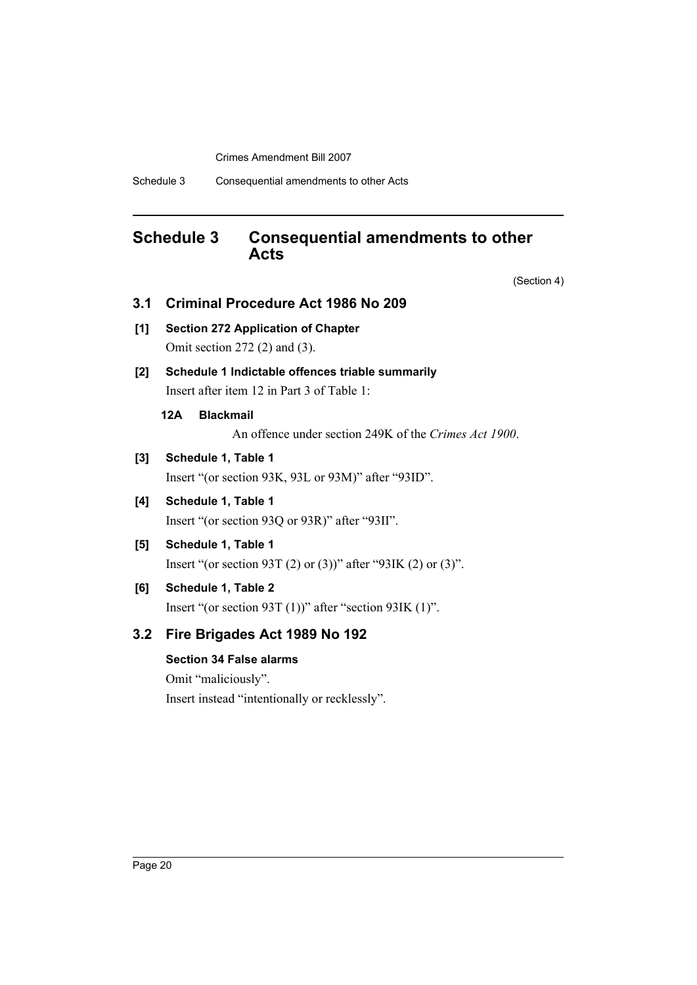# <span id="page-20-0"></span>**Schedule 3 Consequential amendments to other Acts**

(Section 4)

| 3.1 | Criminal Procedure Act 1986 No 209                            |
|-----|---------------------------------------------------------------|
| [1] | <b>Section 272 Application of Chapter</b>                     |
|     | Omit section 272 $(2)$ and $(3)$ .                            |
| [2] | Schedule 1 Indictable offences triable summarily              |
|     | Insert after item 12 in Part 3 of Table 1:                    |
|     | 12A<br><b>Blackmail</b>                                       |
|     | An offence under section 249K of the Crimes Act 1900.         |
| [3] | Schedule 1, Table 1                                           |
|     | Insert "(or section 93K, 93L or 93M)" after "93ID".           |
| [4] | Schedule 1, Table 1                                           |
|     | Insert "(or section 93Q or 93R)" after "93II".                |
| [5] | Schedule 1, Table 1                                           |
|     | Insert "(or section 93T (2) or (3))" after "93IK (2) or (3)". |
| [6] | Schedule 1, Table 2                                           |
|     | Insert "(or section 93T $(1)$ )" after "section 93IK $(1)$ ". |
| 3.2 | Fire Brigades Act 1989 No 192                                 |
|     | <b>Section 34 False alarms</b>                                |
|     | Omit "maliciously".                                           |
|     | Insert instead "intentionally or recklessly".                 |